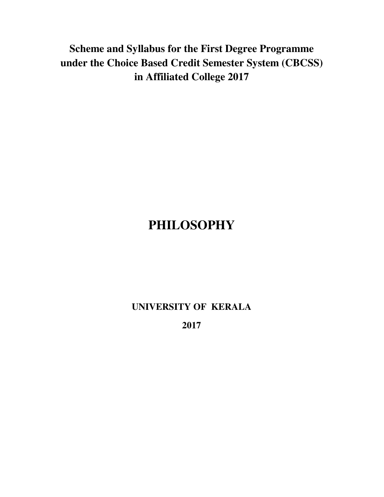**Scheme and Syllabus for the First Degree Programme under the Choice Based Credit Semester System (CBCSS) in Affiliated College 2017** 

# **PHILOSOPHY**

## **UNIVERSITY OF KERALA**

**2017**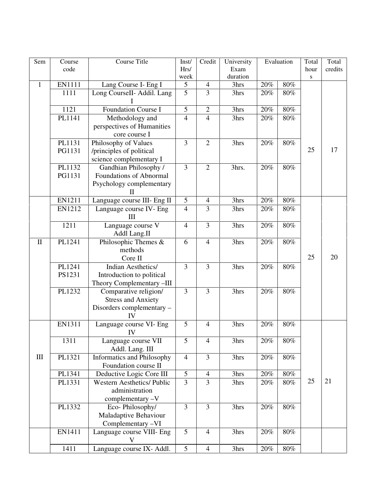| Sem          | Course<br>code   | Course Title                                                                                 | Inst/<br>Hrs/<br>week | Credit                   | University<br>Exam<br>duration | Evaluation |        | Total<br>hour<br>${\bf S}$ | Total<br>credits |
|--------------|------------------|----------------------------------------------------------------------------------------------|-----------------------|--------------------------|--------------------------------|------------|--------|----------------------------|------------------|
| $\mathbf{1}$ | EN1111           | Lang Course I- Eng I                                                                         | $\mathfrak{S}$        | $\overline{\mathcal{L}}$ | 3hrs                           | $20\%$     | $80\%$ |                            |                  |
|              | 1111             | Long CourseII- Addil. Lang<br>L                                                              | $\overline{5}$        | $\overline{3}$           | 3hrs                           | 20%        | 80%    |                            |                  |
|              | 1121             | Foundation Course I                                                                          | 5                     | $\mathbf{2}$             | 3hrs                           | $20\%$     | $80\%$ |                            |                  |
|              | PL1141           | Methodology and<br>perspectives of Humanities<br>core course I                               | $\overline{4}$        | $\overline{4}$           | 3hrs                           | 20%        | 80%    |                            |                  |
|              | PL1131<br>PG1131 | Philosophy of Values<br>/principles of political<br>science complementary I                  | 3                     | $\overline{2}$           | 3hrs                           | 20%        | 80%    | 25                         | 17               |
|              | PL1132<br>PG1131 | Gandhian Philosophy /<br>Foundations of Abnormal<br>Psychology complementary<br>$\mathbf{I}$ | 3                     | $\overline{2}$           | 3hrs.                          | 20%        | 80%    |                            |                  |
|              | EN1211           | Language course III- Eng II                                                                  | 5                     | $\overline{4}$           | 3hrs                           | 20%        | 80%    |                            |                  |
|              | EN1212           | Language course IV- Eng<br>III                                                               | $\overline{4}$        | $\overline{3}$           | 3hrs                           | 20%        | 80%    |                            |                  |
|              | 1211             | Language course V<br>Addl Lang.II                                                            | $\overline{4}$        | 3                        | 3hrs                           | 20%        | 80%    |                            |                  |
| $\mathbf{I}$ | PL1241           | Philosophic Themes &<br>methods<br>Core II                                                   | 6                     | $\overline{4}$           | 3hrs                           | 20%        | 80%    | 25                         | 20               |
|              | PL1241<br>PS1231 | Indian Aesthetics/<br>Introduction to political<br>Theory Complementary -III                 | 3                     | $\overline{3}$           | 3hrs                           | 20%        | 80%    |                            |                  |
|              | PL1232           | Comparative religion/<br><b>Stress and Anxiety</b><br>Disorders complementary -<br>IV        | 3                     | 3                        | 3hrs                           | 20%        | 80%    |                            |                  |
|              | EN1311           | Language course VI- Eng<br>IV                                                                | 5                     | $\overline{4}$           | 3hrs                           | 20%        | 80%    |                            |                  |
|              | 1311             | Language course VII<br>Addl. Lang. III                                                       | 5                     | 4                        | 3hrs                           | 20%        | 80%    |                            |                  |
| $\rm III$    | PL1321           | Informatics and Philosophy<br>Foundation course II                                           | $\overline{4}$        | $\overline{3}$           | 3hrs                           | $20\%$     | $80\%$ |                            |                  |
|              | PL1341           | Deductive Logic Core III                                                                     | $\mathfrak{S}$        | $\overline{4}$           | 3hrs                           | 20%        | $80\%$ |                            |                  |
|              | PL1331           | <b>Western Aesthetics/ Public</b><br>administration<br>complementary -V                      | $\overline{3}$        | $\overline{3}$           | 3hrs                           | 20%        | $80\%$ | 25                         | 21               |
|              | PL1332           | Eco-Philosophy/<br>Maladaptive Behaviour<br>Complementary -VI                                | 3                     | $\overline{3}$           | 3hrs                           | 20%        | $80\%$ |                            |                  |
|              | EN1411           | Language course VIII- Eng<br>V                                                               | 5                     | $\overline{4}$           | 3hrs                           | 20%        | 80%    |                            |                  |
|              | 1411             | Language course IX- Addl.                                                                    | 5                     | $\overline{4}$           | 3hrs                           | 20%        | $80\%$ |                            |                  |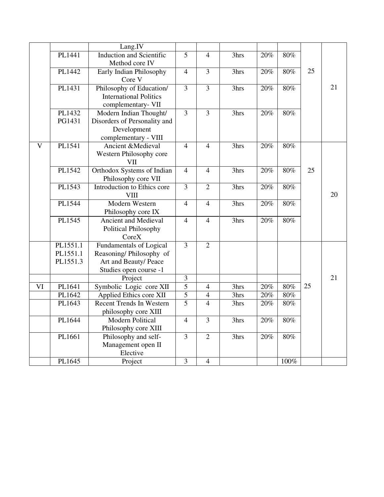|                         |          | Lang.IV                                          |                |                |                  |        |                   |    |    |
|-------------------------|----------|--------------------------------------------------|----------------|----------------|------------------|--------|-------------------|----|----|
|                         | PL1441   | <b>Induction and Scientific</b>                  | $\overline{5}$ | $\overline{4}$ | 3hrs             | 20%    | 80%               |    |    |
|                         |          | Method core IV                                   |                |                |                  |        |                   |    |    |
|                         | PL1442   | Early Indian Philosophy                          | $\overline{4}$ | $\overline{3}$ | 3hrs             | 20%    | $80\%$            | 25 |    |
|                         |          | Core V                                           |                |                |                  |        |                   |    |    |
|                         | PL1431   | Philosophy of Education/                         | 3              | $\overline{3}$ | 3hrs             | 20%    | $80\%$            |    | 21 |
|                         |          | <b>International Politics</b>                    |                |                |                  |        |                   |    |    |
|                         |          | complementary- VII                               |                |                |                  |        |                   |    |    |
|                         | PL1432   | Modern Indian Thought/                           | $\overline{3}$ | $\overline{3}$ | 3 <sub>hrs</sub> | 20%    | $\overline{80\%}$ |    |    |
|                         | PG1431   | Disorders of Personality and                     |                |                |                  |        |                   |    |    |
|                         |          | Development                                      |                |                |                  |        |                   |    |    |
|                         |          | complementary - VIII                             |                |                |                  |        |                   |    |    |
| $\overline{\mathbf{V}}$ | PL1541   | Ancient & Medieval                               | $\overline{4}$ | $\overline{4}$ | 3hrs             | 20%    | $\overline{80\%}$ |    |    |
|                         |          | Western Philosophy core                          |                |                |                  |        |                   |    |    |
|                         |          | <b>VII</b>                                       |                |                |                  |        |                   |    |    |
|                         | PL1542   | Orthodox Systems of Indian                       | $\overline{4}$ | $\overline{4}$ | 3hrs             | 20%    | 80%               | 25 |    |
|                         |          | Philosophy core VII                              |                |                |                  |        |                   |    |    |
|                         | PL1543   | Introduction to Ethics core                      | $\overline{3}$ | $\overline{2}$ | 3hrs             | 20%    | $80\%$            |    |    |
|                         |          | <b>VIII</b>                                      |                |                |                  |        |                   |    | 20 |
|                         | PL1544   | Modern Western                                   | $\overline{4}$ | $\overline{4}$ | 3hrs             | 20%    | $80\%$            |    |    |
|                         |          | Philosophy core IX                               |                |                |                  |        |                   |    |    |
|                         | PL1545   | Ancient and Medieval                             | $\overline{4}$ | $\overline{4}$ | 3hrs             | 20%    | $80\%$            |    |    |
|                         |          | Political Philosophy                             |                |                |                  |        |                   |    |    |
|                         | PL1551.1 | CoreX                                            | $\overline{3}$ | $\overline{2}$ |                  |        |                   |    |    |
|                         | PL1551.1 | <b>Fundamentals of Logical</b>                   |                |                |                  |        |                   |    |    |
|                         | PL1551.3 | Reasoning/Philosophy of<br>Art and Beauty/ Peace |                |                |                  |        |                   |    |    |
|                         |          | Studies open course -1                           |                |                |                  |        |                   |    |    |
|                         |          | Project                                          | $\mathfrak{Z}$ |                |                  |        |                   |    | 21 |
| VI                      | PL1641   | Symbolic Logic core XII                          | $\overline{5}$ | $\overline{4}$ | 3hrs             | 20%    | $80\%$            | 25 |    |
|                         | PL1642   | Applied Ethics core XII                          | $\overline{5}$ | $\overline{4}$ | 3hrs             | 20%    | $80\%$            |    |    |
|                         | PL1643   | Recent Trends In Western                         | $\overline{5}$ | $\overline{4}$ | 3hrs             | 20%    | 80%               |    |    |
|                         |          | philosophy core XIII                             |                |                |                  |        |                   |    |    |
|                         | PL1644   | <b>Modern Political</b>                          | $\overline{4}$ | 3              | 3hrs             | $20\%$ | $80\%$            |    |    |
|                         |          | Philosophy core XIII                             |                |                |                  |        |                   |    |    |
|                         | PL1661   | Philosophy and self-                             | 3              | $\overline{2}$ | 3hrs             | 20%    | 80%               |    |    |
|                         |          | Management open II                               |                |                |                  |        |                   |    |    |
|                         |          | Elective                                         |                |                |                  |        |                   |    |    |
|                         | PL1645   | Project                                          | 3              | $\overline{4}$ |                  |        | $100\%$           |    |    |
|                         |          |                                                  |                |                |                  |        |                   |    |    |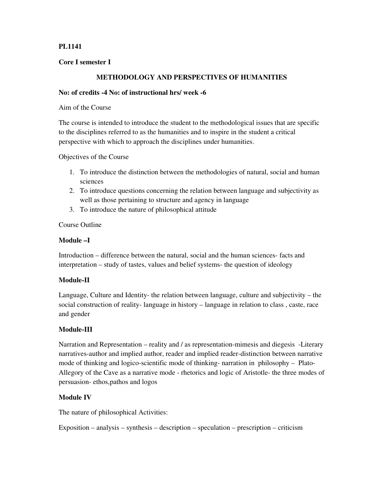#### **Core I semester I**

#### **METHODOLOGY AND PERSPECTIVES OF HUMANITIES**

#### **No: of credits -4 No: of instructional hrs/ week -6**

Aim of the Course

The course is intended to introduce the student to the methodological issues that are specific to the disciplines referred to as the humanities and to inspire in the student a critical perspective with which to approach the disciplines under humanities.

Objectives of the Course

- 1. To introduce the distinction between the methodologies of natural, social and human sciences
- 2. To introduce questions concerning the relation between language and subjectivity as well as those pertaining to structure and agency in language
- 3. To introduce the nature of philosophical attitude

#### Course Outline

#### **Module –I**

Introduction – difference between the natural, social and the human sciences- facts and interpretation – study of tastes, values and belief systems- the question of ideology

#### **Module-II**

Language, Culture and Identity- the relation between language, culture and subjectivity – the social construction of reality- language in history – language in relation to class , caste, race and gender

#### **Module-III**

Narration and Representation – reality and / as representation-mimesis and diegesis -Literary narratives-author and implied author, reader and implied reader-distinction between narrative mode of thinking and logico-scientific mode of thinking- narration in philosophy – Plato-Allegory of the Cave as a narrative mode - rhetorics and logic of Aristotle- the three modes of persuasion- ethos,pathos and logos

#### **Module IV**

The nature of philosophical Activities:

Exposition – analysis – synthesis – description – speculation – prescription – criticism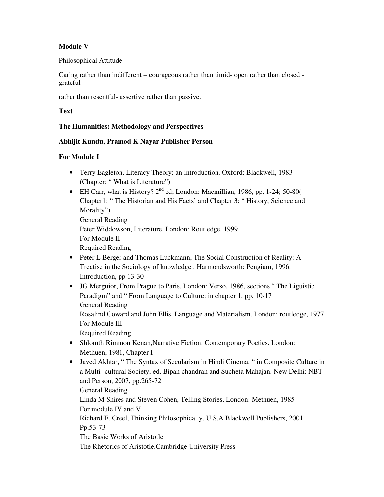#### **Module V**

Philosophical Attitude

Caring rather than indifferent – courageous rather than timid- open rather than closed grateful

rather than resentful- assertive rather than passive.

#### **Text**

#### **The Humanities: Methodology and Perspectives**

#### **Abhijit Kundu, Pramod K Nayar Publisher Person**

#### **For Module I**

- Terry Eagleton, Literacy Theory: an introduction. Oxford: Blackwell, 1983 (Chapter: " What is Literature")
- EH Carr, what is History?  $2^{nd}$  ed; London: Macmillian, 1986, pp, 1-24; 50-80( Chapter1: " The Historian and His Facts' and Chapter 3: " History, Science and Morality") General Reading Peter Widdowson, Literature, London: Routledge, 1999 For Module II Required Reading
- Peter L Berger and Thomas Luckmann, The Social Construction of Reality: A Treatise in the Sociology of knowledge . Harmondsworth: Pengium, 1996. Introduction, pp 13-30
- JG Merguior, From Prague to Paris. London: Verso, 1986, sections " The Liguistic Paradigm" and " From Language to Culture: in chapter 1, pp. 10-17 General Reading

Rosalind Coward and John Ellis, Language and Materialism. London: routledge, 1977 For Module III

Required Reading

- Shlomth Rimmon Kenan,Narrative Fiction: Contemporary Poetics. London: Methuen, 1981, Chapter I
- Javed Akhtar, " The Syntax of Secularism in Hindi Cinema, " in Composite Culture in a Multi- cultural Society, ed. Bipan chandran and Sucheta Mahajan. New Delhi: NBT and Person, 2007, pp.265-72 General Reading Linda M Shires and Steven Cohen, Telling Stories, London: Methuen, 1985 For module IV and V Richard E. Creel, Thinking Philosophically. U.S.A Blackwell Publishers, 2001. Pp.53-73 The Basic Works of Aristotle The Rhetorics of Aristotle.Cambridge University Press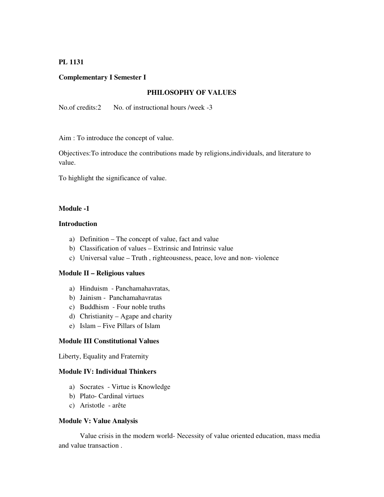#### **Complementary I Semester I**

#### **PHILOSOPHY OF VALUES**

No.of credits:2 No. of instructional hours /week -3

Aim : To introduce the concept of value.

Objectives:To introduce the contributions made by religions,individuals, and literature to value.

To highlight the significance of value.

#### **Module -1**

#### **Introduction**

- a) Definition The concept of value, fact and value
- b) Classification of values Extrinsic and Intrinsic value
- c) Universal value Truth , righteousness, peace, love and non- violence

#### **Module II – Religious values**

- a) Hinduism Panchamahavratas,
- b) Jainism Panchamahavratas
- c) Buddhism Four noble truths
- d) Christianity Agape and charity
- e) Islam Five Pillars of Islam

#### **Module III Constitutional Values**

Liberty, Equality and Fraternity

#### **Module IV: Individual Thinkers**

- a) Socrates Virtue is Knowledge
- b) Plato- Cardinal virtues
- c) Aristotle arête

#### **Module V: Value Analysis**

 Value crisis in the modern world- Necessity of value oriented education, mass media and value transaction .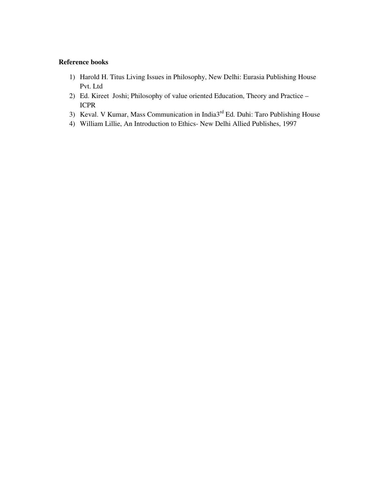#### **Reference books**

- 1) Harold H. Titus Living Issues in Philosophy, New Delhi: Eurasia Publishing House Pvt. Ltd
- 2) Ed. Kireet Joshi; Philosophy of value oriented Education, Theory and Practice ICPR
- 3) Keval. V Kumar, Mass Communication in India3rd Ed. Duhi: Taro Publishing House
- 4) William Lillie, An Introduction to Ethics- New Delhi Allied Publishes, 1997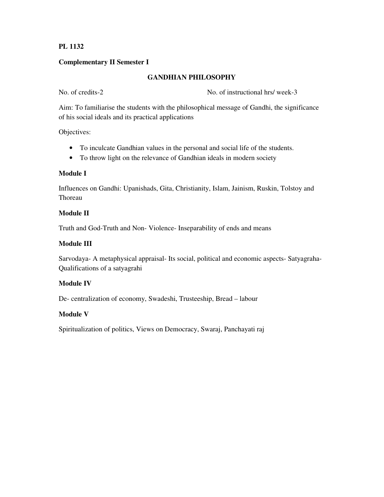#### **Complementary II Semester I**

#### **GANDHIAN PHILOSOPHY**

No. of credits-2 No. of instructional hrs/ week-3

Aim: To familiarise the students with the philosophical message of Gandhi, the significance of his social ideals and its practical applications

Objectives:

- To inculcate Gandhian values in the personal and social life of the students.
- To throw light on the relevance of Gandhian ideals in modern society

#### **Module I**

Influences on Gandhi: Upanishads, Gita, Christianity, Islam, Jainism, Ruskin, Tolstoy and Thoreau

#### **Module II**

Truth and God-Truth and Non- Violence- Inseparability of ends and means

#### **Module III**

Sarvodaya- A metaphysical appraisal- Its social, political and economic aspects- Satyagraha-Qualifications of a satyagrahi

#### **Module IV**

De- centralization of economy, Swadeshi, Trusteeship, Bread – labour

#### **Module V**

Spiritualization of politics, Views on Democracy, Swaraj, Panchayati raj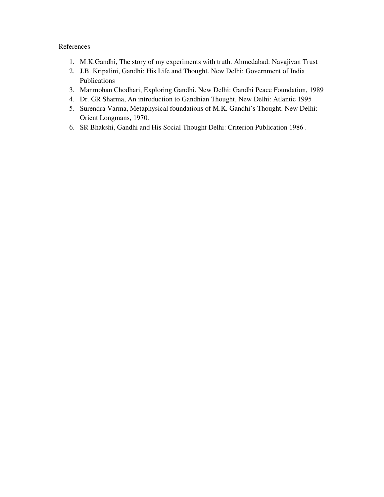References

- 1. M.K.Gandhi, The story of my experiments with truth. Ahmedabad: Navajivan Trust
- 2. J.B. Kripalini, Gandhi: His Life and Thought. New Delhi: Government of India Publications
- 3. Manmohan Chodhari, Exploring Gandhi. New Delhi: Gandhi Peace Foundation, 1989
- 4. Dr. GR Sharma, An introduction to Gandhian Thought, New Delhi: Atlantic 1995
- 5. Surendra Varma, Metaphysical foundations of M.K. Gandhi's Thought. New Delhi: Orient Longmans, 1970.
- 6. SR Bhakshi, Gandhi and His Social Thought Delhi: Criterion Publication 1986 .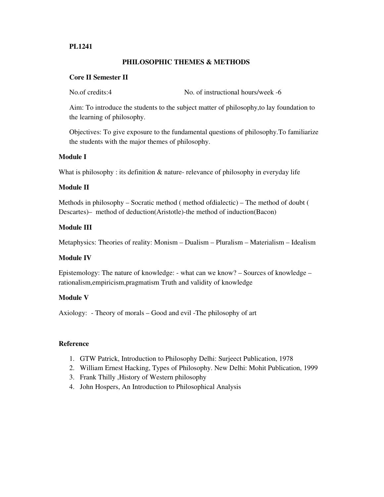#### **PHILOSOPHIC THEMES & METHODS**

#### **Core II Semester II**

No.of credits:4 No. of instructional hours/week -6

Aim: To introduce the students to the subject matter of philosophy,to lay foundation to the learning of philosophy.

Objectives: To give exposure to the fundamental questions of philosophy.To familiarize the students with the major themes of philosophy.

#### **Module I**

What is philosophy : its definition  $\&$  nature- relevance of philosophy in everyday life

#### **Module II**

Methods in philosophy – Socratic method ( method ofdialectic) – The method of doubt ( Descartes)– method of deduction(Aristotle)-the method of induction(Bacon)

#### **Module III**

Metaphysics: Theories of reality: Monism – Dualism – Pluralism – Materialism – Idealism

#### **Module IV**

Epistemology: The nature of knowledge: - what can we know? – Sources of knowledge – rationalism,empiricism,pragmatism Truth and validity of knowledge

#### **Module V**

Axiology: - Theory of morals – Good and evil -The philosophy of art

#### **Reference**

- 1. GTW Patrick, Introduction to Philosophy Delhi: Surjeect Publication, 1978
- 2. William Ernest Hacking, Types of Philosophy. New Delhi: Mohit Publication, 1999
- 3. Frank Thilly ,History of Western philosophy
- 4. John Hospers, An Introduction to Philosophical Analysis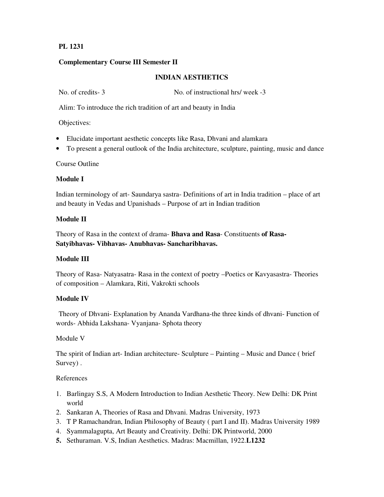#### **Complementary Course III Semester II**

#### **INDIAN AESTHETICS**

No. of credits- 3 No. of instructional hrs/ week -3

Alim: To introduce the rich tradition of art and beauty in India

Objectives:

- Elucidate important aesthetic concepts like Rasa, Dhvani and alamkara
- To present a general outlook of the India architecture, sculpture, painting, music and dance

#### Course Outline

#### **Module I**

Indian terminology of art- Saundarya sastra- Definitions of art in India tradition – place of art and beauty in Vedas and Upanishads – Purpose of art in Indian tradition

#### **Module II**

Theory of Rasa in the context of drama- **Bhava and Rasa**- Constituents **of Rasa-Satyibhavas- Vibhavas- Anubhavas- Sancharibhavas.** 

#### **Module III**

Theory of Rasa- Natyasatra- Rasa in the context of poetry –Poetics or Kavyasastra- Theories of composition – Alamkara, Riti, Vakrokti schools

#### **Module IV**

 Theory of Dhvani- Explanation by Ananda Vardhana-the three kinds of dhvani- Function of words- Abhida Lakshana- Vyanjana- Sphota theory

#### Module V

The spirit of Indian art- Indian architecture- Sculpture – Painting – Music and Dance ( brief Survey).

#### References

- 1. Barlingay S.S, A Modern Introduction to Indian Aesthetic Theory. New Delhi: DK Print world
- 2. Sankaran A, Theories of Rasa and Dhvani. Madras University, 1973
- 3. T P Ramachandran, Indian Philosophy of Beauty ( part I and II). Madras University 1989
- 4. Syammalagupta, Art Beauty and Creativity. Delhi: DK Printworld, 2000
- **5.** Sethuraman. V.S, Indian Aesthetics. Madras: Macmillan, 1922.**L1232**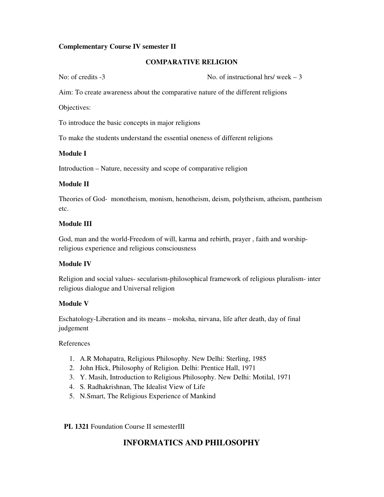#### **Complementary Course IV semester II**

#### **COMPARATIVE RELIGION**

No: of credits -3 No. of instructional hrs/ week – 3

Aim: To create awareness about the comparative nature of the different religions

Objectives:

To introduce the basic concepts in major religions

To make the students understand the essential oneness of different religions

#### **Module I**

Introduction – Nature, necessity and scope of comparative religion

#### **Module II**

Theories of God- monotheism, monism, henotheism, deism, polytheism, atheism, pantheism etc.

#### **Module III**

God, man and the world-Freedom of will, karma and rebirth, prayer , faith and worshipreligious experience and religious consciousness

#### **Module IV**

Religion and social values- secularism-philosophical framework of religious pluralism- inter religious dialogue and Universal religion

#### **Module V**

Eschatology-Liberation and its means – moksha, nirvana, life after death, day of final judgement

#### References

- 1. A.R Mohapatra, Religious Philosophy. New Delhi: Sterling, 1985
- 2. John Hick, Philosophy of Religion. Delhi: Prentice Hall, 1971
- 3. Y. Masih, Introduction to Religious Philosophy. New Delhi: Motilal, 1971
- 4. S. Radhakrishnan, The Idealist View of Life
- 5. N.Smart, The Religious Experience of Mankind

#### **PL 1321** Foundation Course II semesterIII

#### **INFORMATICS AND PHILOSOPHY**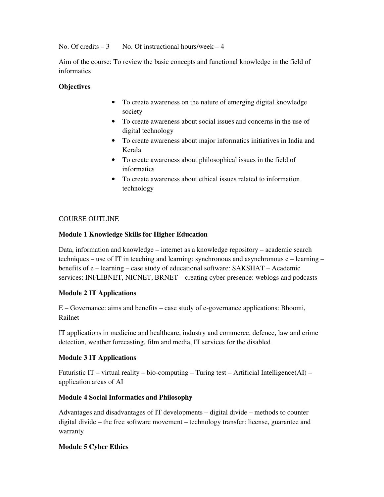No. Of credits  $-3$  No. Of instructional hours/week  $-4$ 

Aim of the course: To review the basic concepts and functional knowledge in the field of informatics

#### **Objectives**

- To create awareness on the nature of emerging digital knowledge society
- To create awareness about social issues and concerns in the use of digital technology
- To create awareness about major informatics initiatives in India and Kerala
- To create awareness about philosophical issues in the field of informatics
- To create awareness about ethical issues related to information technology

#### COURSE OUTLINE

#### **Module 1 Knowledge Skills for Higher Education**

Data, information and knowledge – internet as a knowledge repository – academic search techniques – use of IT in teaching and learning: synchronous and asynchronous e – learning – benefits of e – learning – case study of educational software: SAKSHAT – Academic services: INFLIBNET, NICNET, BRNET – creating cyber presence: weblogs and podcasts

#### **Module 2 IT Applications**

E – Governance: aims and benefits – case study of e-governance applications: Bhoomi, Railnet

IT applications in medicine and healthcare, industry and commerce, defence, law and crime detection, weather forecasting, film and media, IT services for the disabled

#### **Module 3 IT Applications**

Futuristic IT – virtual reality – bio-computing – Turing test – Artificial Intelligence  $(AI)$  – application areas of AI

#### **Module 4 Social Informatics and Philosophy**

Advantages and disadvantages of IT developments – digital divide – methods to counter digital divide – the free software movement – technology transfer: license, guarantee and warranty

#### **Module 5 Cyber Ethics**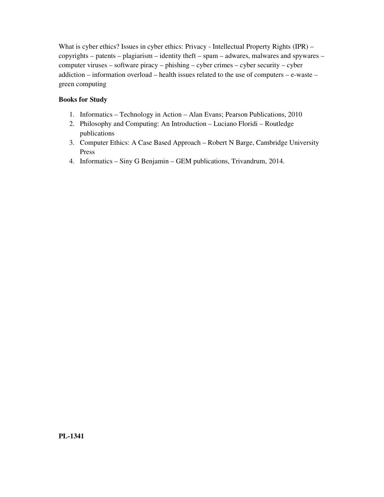What is cyber ethics? Issues in cyber ethics: Privacy - Intellectual Property Rights (IPR) – copyrights – patents – plagiarism – identity theft – spam – adwares, malwares and spywares – computer viruses – software piracy – phishing – cyber crimes – cyber security – cyber addiction – information overload – health issues related to the use of computers – e-waste – green computing

#### **Books for Study**

- 1. Informatics Technology in Action Alan Evans; Pearson Publications, 2010
- 2. Philosophy and Computing: An Introduction Luciano Floridi Routledge publications
- 3. Computer Ethics: A Case Based Approach Robert N Barge, Cambridge University Press
- 4. Informatics Siny G Benjamin GEM publications, Trivandrum, 2014.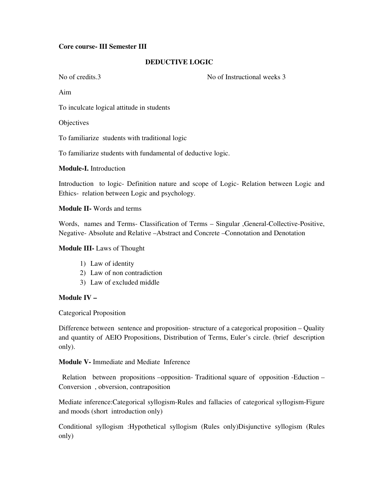#### **Core course- III Semester III**

#### **DEDUCTIVE LOGIC**

No of credits.3 No of Instructional weeks 3

Aim

To inculcate logical attitude in students

**Objectives** 

To familiarize students with traditional logic

To familiarize students with fundamental of deductive logic.

#### **Module-I.** Introduction

Introduction to logic- Definition nature and scope of Logic- Relation between Logic and Ethics- relation between Logic and psychology.

**Module II-** Words and terms

Words, names and Terms- Classification of Terms – Singular ,General-Collective-Positive, Negative- Absolute and Relative –Abstract and Concrete –Connotation and Denotation

#### **Module III-** Laws of Thought

- 1) Law of identity
- 2) Law of non contradiction
- 3) Law of excluded middle

#### **Module IV –**

Categorical Proposition

Difference between sentence and proposition- structure of a categorical proposition – Quality and quantity of AEIO Propositions, Distribution of Terms, Euler's circle. (brief description only).

**Module V-** Immediate and Mediate Inference

Relation between propositions –opposition- Traditional square of opposition -Eduction – Conversion , obversion, contraposition

Mediate inference:Categorical syllogism-Rules and fallacies of categorical syllogism-Figure and moods (short introduction only)

Conditional syllogism :Hypothetical syllogism (Rules only)Disjunctive syllogism (Rules only)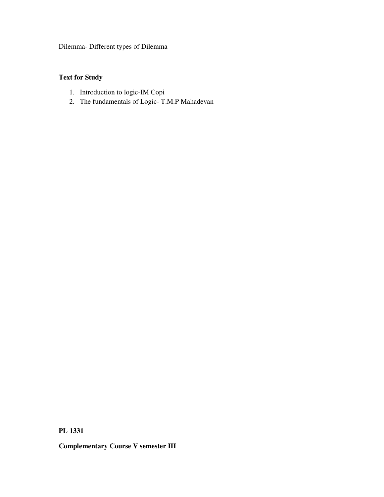Dilemma- Different types of Dilemma

### **Text for Study**

- 1. Introduction to logic-IM Copi
- 2. The fundamentals of Logic- T.M.P Mahadevan

**PL 1331** 

**Complementary Course V semester III**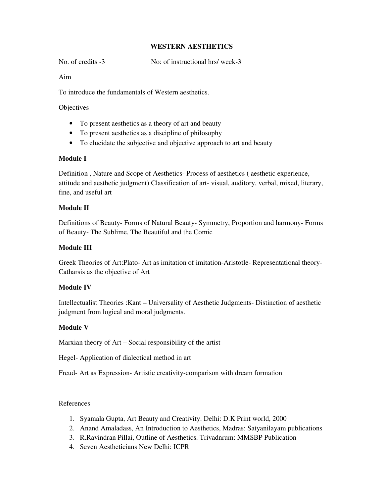#### **WESTERN AESTHETICS**

No. of credits -3 No: of instructional hrs/ week-3

Aim

To introduce the fundamentals of Western aesthetics.

#### **Objectives**

- To present aesthetics as a theory of art and beauty
- To present aesthetics as a discipline of philosophy
- To elucidate the subjective and objective approach to art and beauty

#### **Module I**

Definition , Nature and Scope of Aesthetics- Process of aesthetics ( aesthetic experience, attitude and aesthetic judgment) Classification of art- visual, auditory, verbal, mixed, literary, fine, and useful art

#### **Module II**

Definitions of Beauty- Forms of Natural Beauty- Symmetry, Proportion and harmony- Forms of Beauty- The Sublime, The Beautiful and the Comic

#### **Module III**

Greek Theories of Art:Plato- Art as imitation of imitation-Aristotle- Representational theory-Catharsis as the objective of Art

#### **Module IV**

Intellectualist Theories :Kant – Universality of Aesthetic Judgments- Distinction of aesthetic judgment from logical and moral judgments.

#### **Module V**

Marxian theory of Art – Social responsibility of the artist

Hegel- Application of dialectical method in art

Freud- Art as Expression- Artistic creativity-comparison with dream formation

#### References

- 1. Syamala Gupta, Art Beauty and Creativity. Delhi: D.K Print world, 2000
- 2. Anand Amaladass, An Introduction to Aesthetics, Madras: Satyanilayam publications
- 3. R.Ravindran Pillai, Outline of Aesthetics. Trivadnrum: MMSBP Publication
- 4. Seven Aestheticians New Delhi: ICPR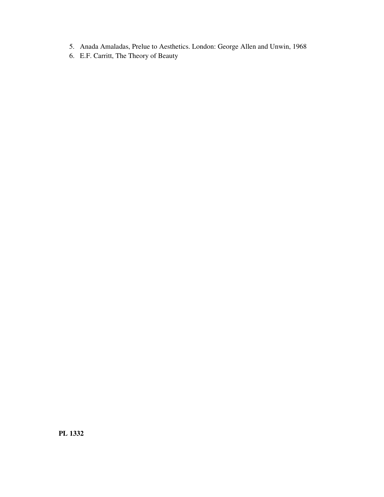- 5. Anada Amaladas, Prelue to Aesthetics. London: George Allen and Unwin, 1968
- 6. E.F. Carritt, The Theory of Beauty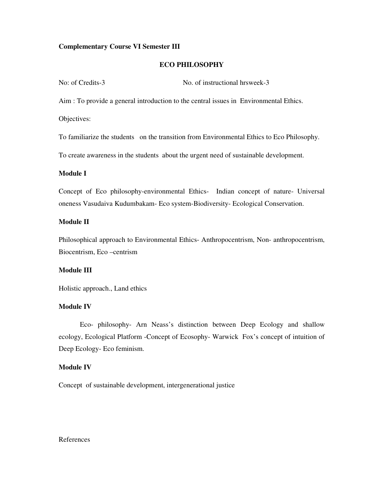#### **Complementary Course VI Semester III**

#### **ECO PHILOSOPHY**

No: of Credits-3 No. of instructional hrsweek-3

Aim : To provide a general introduction to the central issues in Environmental Ethics.

Objectives:

To familiarize the students on the transition from Environmental Ethics to Eco Philosophy.

To create awareness in the students about the urgent need of sustainable development.

#### **Module I**

Concept of Eco philosophy-environmental Ethics- Indian concept of nature- Universal oneness Vasudaiva Kudumbakam- Eco system-Biodiversity- Ecological Conservation.

#### **Module II**

Philosophical approach to Environmental Ethics- Anthropocentrism, Non- anthropocentrism, Biocentrism, Eco –centrism

#### **Module III**

Holistic approach., Land ethics

#### **Module IV**

 Eco- philosophy- Arn Neass's distinction between Deep Ecology and shallow ecology, Ecological Platform -Concept of Ecosophy- Warwick Fox's concept of intuition of Deep Ecology- Eco feminism.

#### **Module IV**

Concept of sustainable development, intergenerational justice

#### References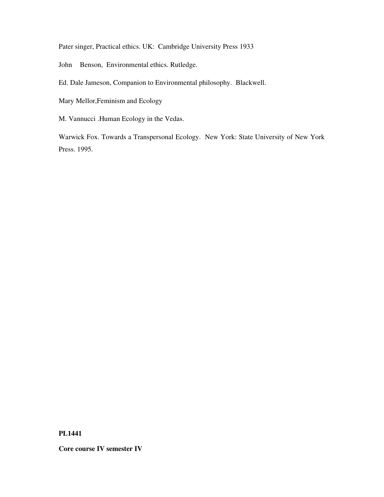Pater singer, Practical ethics. UK: Cambridge University Press 1933

John Benson, Environmental ethics. Rutledge.

Ed. Dale Jameson, Companion to Environmental philosophy. Blackwell.

Mary Mellor,Feminism and Ecology

M. Vannucci .Human Ecology in the Vedas.

Warwick Fox. Towards a Transpersonal Ecology. New York: State University of New York Press. 1995.

#### **PL1441**

**Core course IV semester IV**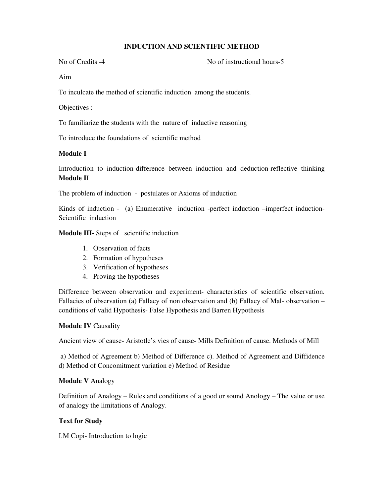#### **INDUCTION AND SCIENTIFIC METHOD**

No of Credits -4 No of instructional hours-5

Aim

To inculcate the method of scientific induction among the students.

Objectives :

To familiarize the students with the nature of inductive reasoning

To introduce the foundations of scientific method

#### **Module I**

Introduction to induction-difference between induction and deduction-reflective thinking **Module I**I

The problem of induction - postulates or Axioms of induction

Kinds of induction - (a) Enumerative induction -perfect induction –imperfect induction-Scientific induction

**Module III-** Steps of scientific induction

- 1. Observation of facts
- 2. Formation of hypotheses
- 3. Verification of hypotheses
- 4. Proving the hypotheses

Difference between observation and experiment- characteristics of scientific observation. Fallacies of observation (a) Fallacy of non observation and (b) Fallacy of Mal- observation – conditions of valid Hypothesis- False Hypothesis and Barren Hypothesis

#### **Module IV** Causality

Ancient view of cause- Aristotle's vies of cause- Mills Definition of cause. Methods of Mill

 a) Method of Agreement b) Method of Difference c). Method of Agreement and Diffidence d) Method of Concomitment variation e) Method of Residue

#### **Module V** Analogy

Definition of Analogy – Rules and conditions of a good or sound Anology – The value or use of analogy the limitations of Analogy.

#### **Text for Study**

I.M Copi- Introduction to logic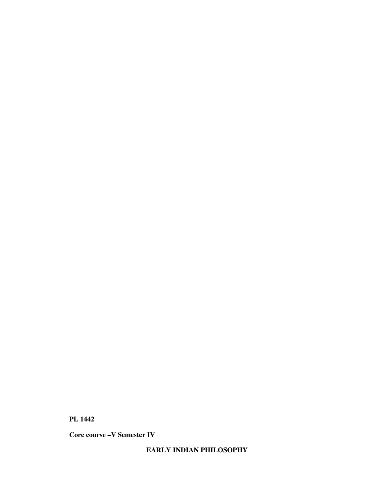**Core course –V Semester IV** 

**EARLY INDIAN PHILOSOPHY**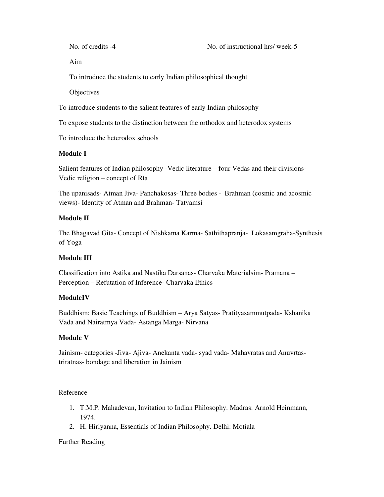Aim

To introduce the students to early Indian philosophical thought

**Objectives** 

To introduce students to the salient features of early Indian philosophy

To expose students to the distinction between the orthodox and heterodox systems

To introduce the heterodox schools

#### **Module I**

Salient features of Indian philosophy -Vedic literature – four Vedas and their divisions-Vedic religion – concept of Rta

The upanisads- Atman Jiva- Panchakosas- Three bodies - Brahman (cosmic and acosmic views)- Identity of Atman and Brahman- Tatvamsi

#### **Module II**

The Bhagavad Gita- Concept of Nishkama Karma- Sathithapranja- Lokasamgraha-Synthesis of Yoga

#### **Module III**

Classification into Astika and Nastika Darsanas- Charvaka Materialsim- Pramana – Perception – Refutation of Inference- Charvaka Ethics

#### **ModuleIV**

Buddhism: Basic Teachings of Buddhism – Arya Satyas- Pratityasammutpada- Kshanika Vada and Nairatmya Vada- Astanga Marga- Nirvana

#### **Module V**

Jainism- categories -Jiva- Ajiva- Anekanta vada- syad vada- Mahavratas and Anuvrtastriratnas- bondage and liberation in Jainism

#### Reference

- 1. T.M.P. Mahadevan, Invitation to Indian Philosophy. Madras: Arnold Heinmann, 1974.
- 2. H. Hiriyanna, Essentials of Indian Philosophy. Delhi: Motiala

#### Further Reading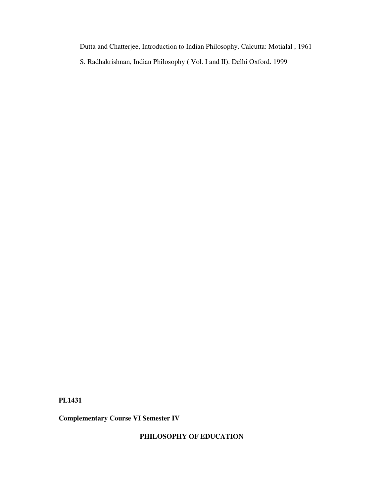Dutta and Chatterjee, Introduction to Indian Philosophy. Calcutta: Motialal , 1961 S. Radhakrishnan, Indian Philosophy ( Vol. I and II). Delhi Oxford. 1999

**PL1431** 

**Complementary Course VI Semester IV** 

**PHILOSOPHY OF EDUCATION**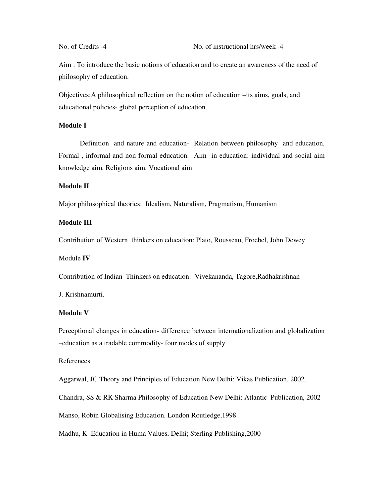Aim : To introduce the basic notions of education and to create an awareness of the need of philosophy of education.

Objectives:A philosophical reflection on the notion of education –its aims, goals, and educational policies- global perception of education.

#### **Module I**

 Definition and nature and education- Relation between philosophy and education. Formal , informal and non formal education. Aim in education: individual and social aim knowledge aim, Religions aim, Vocational aim

#### **Module II**

Major philosophical theories: Idealism, Naturalism, Pragmatism; Humanism

#### **Module III**

Contribution of Western thinkers on education: Plato, Rousseau, Froebel, John Dewey

#### Module **IV**

Contribution of Indian Thinkers on education: Vivekananda, Tagore,Radhakrishnan

#### J. Krishnamurti.

#### **Module V**

Perceptional changes in education- difference between internationalization and globalization –education as a tradable commodity- four modes of supply

#### References

Aggarwal, JC Theory and Principles of Education New Delhi: Vikas Publication, 2002.

Chandra, SS & RK Sharma Philosophy of Education New Delhi: Atlantic Publication, 2002

Manso, Robin Globalising Education. London Routledge,1998.

Madhu, K .Education in Huma Values, Delhi; Sterling Publishing,2000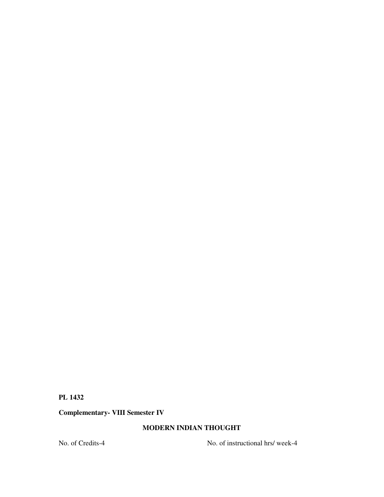**Complementary- VIII Semester IV** 

#### **MODERN INDIAN THOUGHT**

No. of Credits-4 No. of instructional hrs/ week-4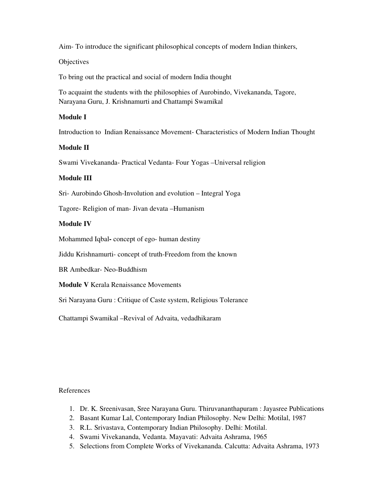Aim- To introduce the significant philosophical concepts of modern Indian thinkers,

**Objectives** 

To bring out the practical and social of modern India thought

To acquaint the students with the philosophies of Aurobindo, Vivekananda, Tagore, Narayana Guru, J. Krishnamurti and Chattampi Swamikal

#### **Module I**

Introduction to Indian Renaissance Movement- Characteristics of Modern Indian Thought

#### **Module II**

Swami Vivekananda- Practical Vedanta- Four Yogas –Universal religion

#### **Module III**

Sri- Aurobindo Ghosh-Involution and evolution – Integral Yoga

Tagore- Religion of man- Jivan devata –Humanism

#### **Module IV**

Mohammed Iqbal**-** concept of ego- human destiny

Jiddu Krishnamurti- concept of truth-Freedom from the known

BR Ambedkar- Neo-Buddhism

**Module V** Kerala Renaissance Movements

Sri Narayana Guru : Critique of Caste system, Religious Tolerance

Chattampi Swamikal –Revival of Advaita, vedadhikaram

#### References

- 1. Dr. K. Sreenivasan, Sree Narayana Guru. Thiruvananthapuram : Jayasree Publications
- 2. Basant Kumar Lal, Contemporary Indian Philosophy. New Delhi: Motilal, 1987
- 3. R.L. Srivastava, Contemporary Indian Philosophy. Delhi: Motilal.
- 4. Swami Vivekananda, Vedanta. Mayavati: Advaita Ashrama, 1965
- 5. Selections from Complete Works of Vivekananda. Calcutta: Advaita Ashrama, 1973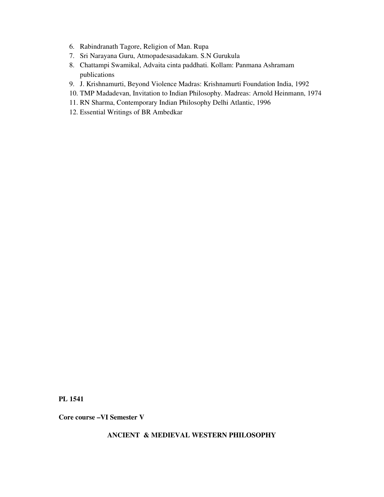- 6. Rabindranath Tagore, Religion of Man. Rupa
- 7. Sri Narayana Guru, Atmopadesasadakam. S.N Gurukula
- 8. Chattampi Swamikal, Advaita cinta paddhati. Kollam: Panmana Ashramam publications
- 9. J. Krishnamurti, Beyond Violence Madras: Krishnamurti Foundation India, 1992
- 10. TMP Madadevan, Invitation to Indian Philosophy. Madreas: Arnold Heinmann, 1974
- 11. RN Sharma, Contemporary Indian Philosophy Delhi Atlantic, 1996
- 12. Essential Writings of BR Ambedkar

**Core course –VI Semester V** 

**ANCIENT & MEDIEVAL WESTERN PHILOSOPHY**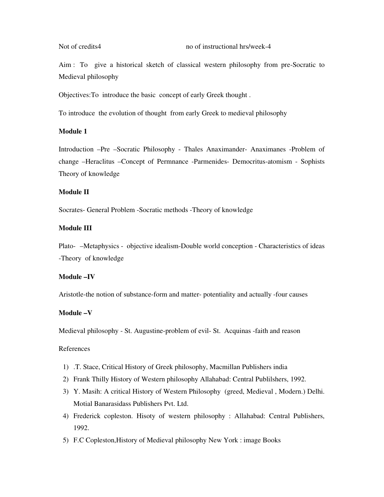Not of credits4 no of instructional hrs/week-4

Aim : To give a historical sketch of classical western philosophy from pre-Socratic to Medieval philosophy

Objectives:To introduce the basic concept of early Greek thought .

To introduce the evolution of thought from early Greek to medieval philosophy

#### **Module 1**

Introduction –Pre –Socratic Philosophy - Thales Anaximander- Anaximanes -Problem of change –Heraclitus –Concept of Permnance -Parmenides- Democritus-atomism - Sophists Theory of knowledge

#### **Module II**

Socrates- General Problem -Socratic methods -Theory of knowledge

#### **Module III**

Plato- –Metaphysics - objective idealism-Double world conception - Characteristics of ideas -Theory of knowledge

#### **Module –IV**

Aristotle-the notion of substance-form and matter- potentiality and actually -four causes

#### **Module –V**

Medieval philosophy - St. Augustine-problem of evil- St. Acquinas -faith and reason

#### References

- 1) .T. Stace, Critical History of Greek philosophy, Macmillan Publishers india
- 2) Frank Thilly History of Western philosophy Allahabad: Central Publilshers, 1992.
- 3) Y. Masih: A critical History of Western Philosophy (greed, Medieval , Modern.) Delhi. Motial Banarasidass Publishers Pvt. Ltd.
- 4) Frederick copleston. Hisoty of western philosophy : Allahabad: Central Publishers, 1992.
- 5) F.C Copleston,History of Medieval philosophy New York : image Books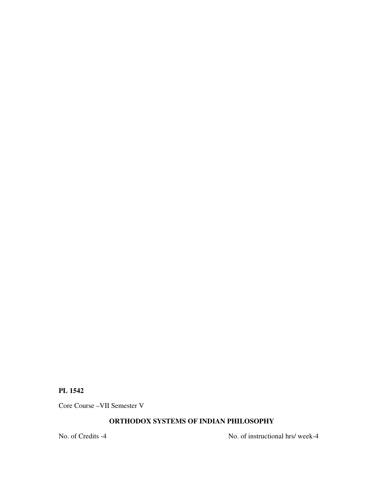Core Course –VII Semester V

#### **ORTHODOX SYSTEMS OF INDIAN PHILOSOPHY**

No. of Credits -4 No. of instructional hrs/ week-4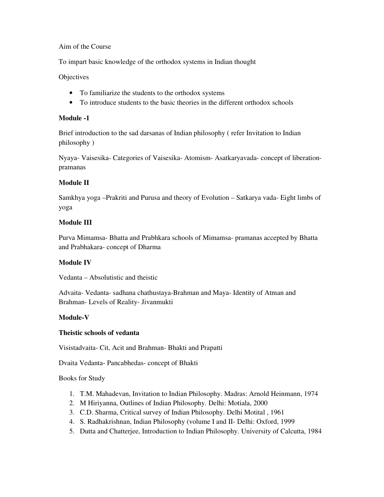#### Aim of the Course

To impart basic knowledge of the orthodox systems in Indian thought

#### **Objectives**

- To familiarize the students to the orthodox systems
- To introduce students to the basic theories in the different orthodox schools

#### **Module -1**

Brief introduction to the sad darsanas of Indian philosophy ( refer Invitation to Indian philosophy )

Nyaya- Vaisesika- Categories of Vaisesika- Atomism- Asatkaryavada- concept of liberationpramanas

#### **Module II**

Samkhya yoga –Prakriti and Purusa and theory of Evolution – Satkarya vada- Eight limbs of yoga

#### **Module III**

Purva Mimamsa- Bhatta and Prabhkara schools of Mimamsa- pramanas accepted by Bhatta and Prabhakara- concept of Dharma

#### **Module IV**

Vedanta – Absolutistic and theistic

Advaita- Vedanta- sadhana chathustaya-Brahman and Maya- Identity of Atman and Brahman- Levels of Reality- Jivanmukti

#### **Module-V**

#### **Theistic schools of vedanta**

Visistadvaita- Cit, Acit and Brahman- Bhakti and Prapatti

Dvaita Vedanta- Pancabhedas- concept of Bhakti

#### Books for Study

- 1. T.M. Mahadevan, Invitation to Indian Philosophy. Madras: Arnold Heinmann, 1974
- 2. M Hiriyanna, Outlines of Indian Philosophy. Delhi: Motiala, 2000
- 3. C.D. Sharma, Critical survey of Indian Philosophy. Delhi Motital , 1961
- 4. S. Radhakrishnan, Indian Philosophy (volume I and II- Delhi: Oxford, 1999
- 5. Dutta and Chatterjee, Introduction to Indian Philosophy. University of Calcutta, 1984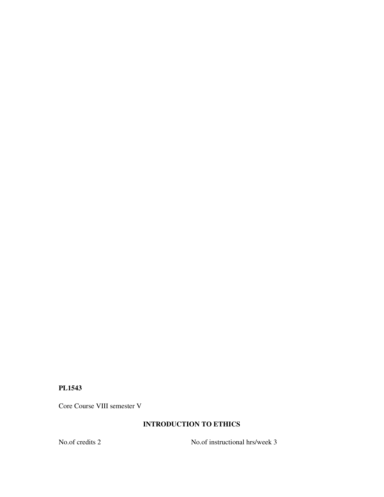Core Course VIII semester V

#### **INTRODUCTION TO ETHICS**

No.of credits 2 No.of instructional hrs/week 3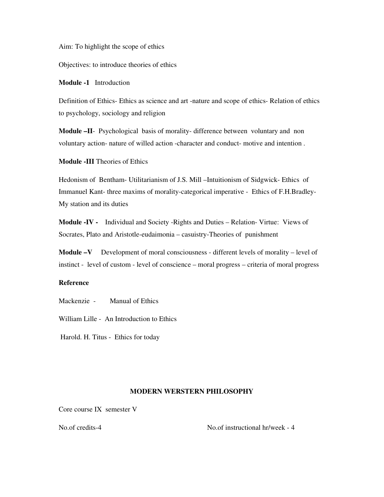Aim: To highlight the scope of ethics

Objectives: to introduce theories of ethics

**Module -1** Introduction

Definition of Ethics- Ethics as science and art -nature and scope of ethics- Relation of ethics to psychology, sociology and religion

**Module –II**- Psychological basis of morality- difference between voluntary and non voluntary action- nature of willed action -character and conduct- motive and intention .

**Module -III** Theories of Ethics

Hedonism of Bentham- Utilitarianism of J.S. Mill –Intuitionism of Sidgwick- Ethics of Immanuel Kant- three maxims of morality-categorical imperative - Ethics of F.H.Bradley-My station and its duties

**Module -IV -** Individual and Society -Rights and Duties – Relation- Virtue: Views of Socrates, Plato and Aristotle-eudaimonia – casuistry-Theories of punishment

**Module –V** Development of moral consciousness - different levels of morality – level of instinct - level of custom - level of conscience – moral progress – criteria of moral progress

#### **Reference**

Mackenzie - Manual of Ethics

William Lille - An Introduction to Ethics

Harold. H. Titus - Ethics for today

#### **MODERN WERSTERN PHILOSOPHY**

Core course IX semester V

No.of credits-4 No.of instructional hr/week - 4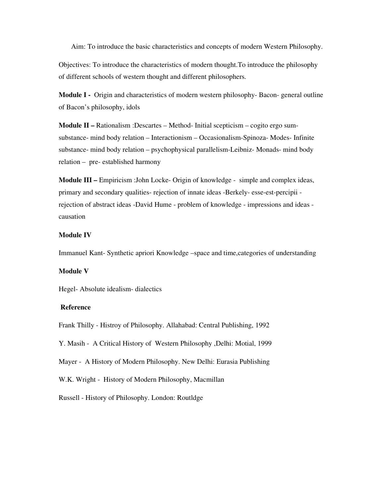Aim: To introduce the basic characteristics and concepts of modern Western Philosophy.

Objectives: To introduce the characteristics of modern thought.To introduce the philosophy of different schools of western thought and different philosophers.

**Module I -** Origin and characteristics of modern western philosophy- Bacon- general outline of Bacon's philosophy, idols

**Module II –** Rationalism :Descartes – Method- Initial scepticism – cogito ergo sumsubstance- mind body relation – Interactionism – Occasionalism-Spinoza- Modes- Infinite substance- mind body relation – psychophysical parallelism-Leibniz- Monads- mind body relation – pre- established harmony

**Module III –** Empiricism :John Locke- Origin of knowledge - simple and complex ideas, primary and secondary qualities- rejection of innate ideas -Berkely- esse-est-percipii rejection of abstract ideas -David Hume - problem of knowledge - impressions and ideas causation

#### **Module IV**

Immanuel Kant- Synthetic apriori Knowledge –space and time,categories of understanding

#### **Module V**

Hegel- Absolute idealism- dialectics

#### **Reference**

Frank Thilly - Histroy of Philosophy. Allahabad: Central Publishing, 1992

Y. Masih - A Critical History of Western Philosophy ,Delhi: Motial, 1999

Mayer - A History of Modern Philosophy. New Delhi: Eurasia Publishing

W.K. Wright - History of Modern Philosophy, Macmillan

Russell - History of Philosophy. London: Routldge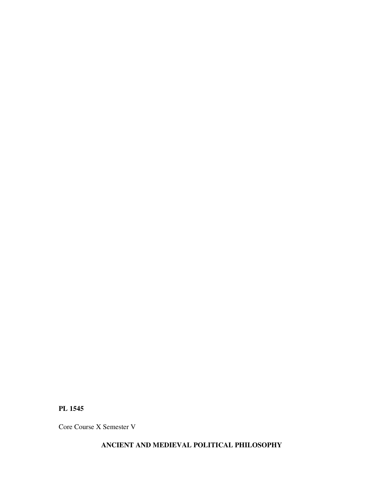Core Course X Semester V

**ANCIENT AND MEDIEVAL POLITICAL PHILOSOPHY**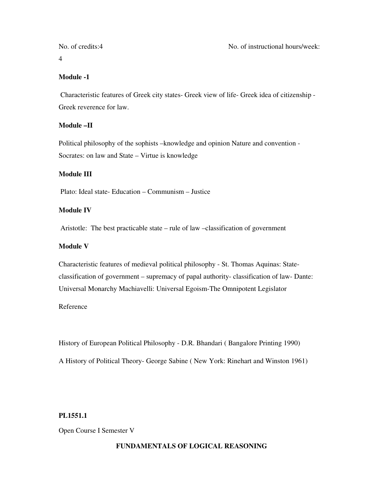# 4

No. of credits:4 No. of instructional hours/week:

#### **Module -1**

Characteristic features of Greek city states- Greek view of life- Greek idea of citizenship - Greek reverence for law.

#### **Module –II**

Political philosophy of the sophists –knowledge and opinion Nature and convention - Socrates: on law and State – Virtue is knowledge

#### **Module III**

Plato: Ideal state- Education – Communism – Justice

#### **Module IV**

Aristotle: The best practicable state – rule of law –classification of government

#### **Module V**

Characteristic features of medieval political philosophy - St. Thomas Aquinas: Stateclassification of government – supremacy of papal authority- classification of law- Dante: Universal Monarchy Machiavelli: Universal Egoism-The Omnipotent Legislator

#### Reference

History of European Political Philosophy - D.R. Bhandari ( Bangalore Printing 1990)

A History of Political Theory- George Sabine ( New York: Rinehart and Winston 1961)

#### **PL1551.1**

Open Course I Semester V

#### **FUNDAMENTALS OF LOGICAL REASONING**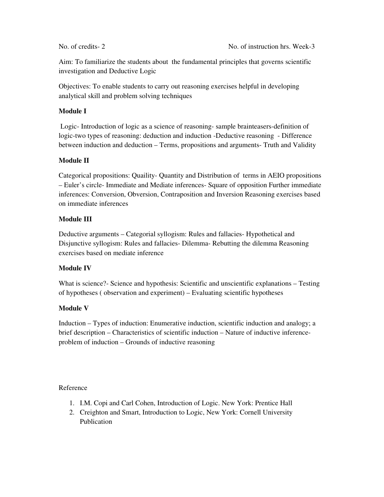Aim: To familiarize the students about the fundamental principles that governs scientific investigation and Deductive Logic

Objectives: To enable students to carry out reasoning exercises helpful in developing analytical skill and problem solving techniques

#### **Module I**

 Logic- Introduction of logic as a science of reasoning- sample brainteasers-definition of logic-two types of reasoning: deduction and induction -Deductive reasoning - Difference between induction and deduction – Terms, propositions and arguments- Truth and Validity

#### **Module II**

Categorical propositions: Quaility- Quantity and Distribution of terms in AEIO propositions – Euler's circle- Immediate and Mediate inferences- Square of opposition Further immediate inferences: Conversion, Obversion, Contraposition and Inversion Reasoning exercises based on immediate inferences

#### **Module III**

Deductive arguments – Categorial syllogism: Rules and fallacies- Hypothetical and Disjunctive syllogism: Rules and fallacies- Dilemma- Rebutting the dilemma Reasoning exercises based on mediate inference

#### **Module IV**

What is science?- Science and hypothesis: Scientific and unscientific explanations – Testing of hypotheses ( observation and experiment) – Evaluating scientific hypotheses

#### **Module V**

Induction – Types of induction: Enumerative induction, scientific induction and analogy; a brief description – Characteristics of scientific induction – Nature of inductive inferenceproblem of induction – Grounds of inductive reasoning

#### Reference

- 1. I.M. Copi and Carl Cohen, Introduction of Logic. New York: Prentice Hall
- 2. Creighton and Smart, Introduction to Logic, New York: Cornell University Publication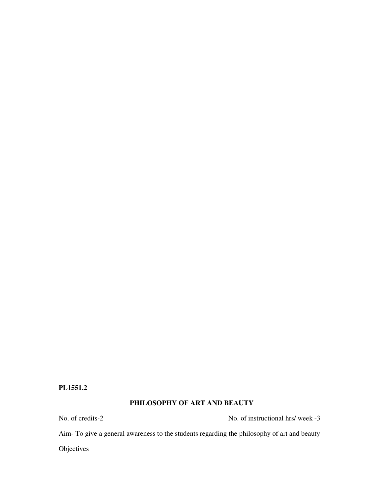#### **PL1551.2**

#### **PHILOSOPHY OF ART AND BEAUTY**

No. of credits-2 No. of instructional hrs/ week -3

Aim- To give a general awareness to the students regarding the philosophy of art and beauty

**Objectives**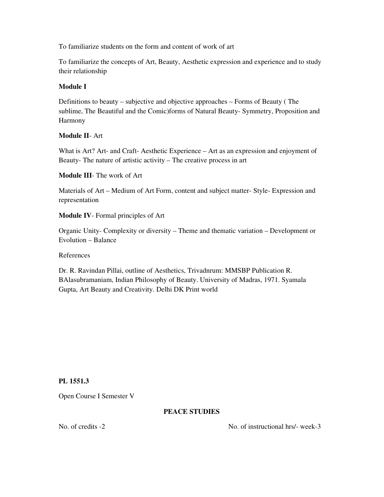To familiarize students on the form and content of work of art

To familiarize the concepts of Art, Beauty, Aesthetic expression and experience and to study their relationship

#### **Module I**

Definitions to beauty – subjective and objective approaches – Forms of Beauty ( The sublime, The Beautiful and the Comic)forms of Natural Beauty- Symmetry, Proposition and Harmony

#### **Module II**- Art

What is Art? Art- and Craft- Aesthetic Experience – Art as an expression and enjoyment of Beauty- The nature of artistic activity – The creative process in art

#### **Module III**- The work of Art

Materials of Art – Medium of Art Form, content and subject matter- Style- Expression and representation

**Module IV**- Formal principles of Art

Organic Unity- Complexity or diversity – Theme and thematic variation – Development or Evolution – Balance

References

Dr. R. Ravindan Pillai, outline of Aesthetics, Trivadnrum: MMSBP Publication R. BAlasubramaniam, Indian Philosophy of Beauty. University of Madras, 1971. Syamala Gupta, Art Beauty and Creativity. Delhi DK Print world

#### **PL 1551.3**

Open Course I Semester V

#### **PEACE STUDIES**

No. of credits -2 No. of instructional hrs/- week-3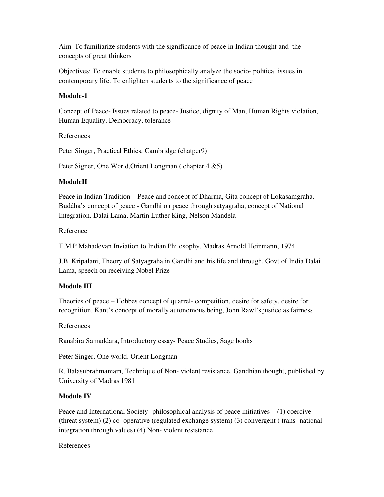Aim. To familiarize students with the significance of peace in Indian thought and the concepts of great thinkers

Objectives: To enable students to philosophically analyze the socio- political issues in contemporary life. To enlighten students to the significance of peace

#### **Module-1**

Concept of Peace- Issues related to peace- Justice, dignity of Man, Human Rights violation, Human Equality, Democracy, tolerance

#### References

Peter Singer, Practical Ethics, Cambridge (chatper9)

Peter Signer, One World,Orient Longman ( chapter 4 &5)

#### **ModuleII**

Peace in Indian Tradition – Peace and concept of Dharma, Gita concept of Lokasamgraha, Buddha's concept of peace - Gandhi on peace through satyagraha, concept of National Integration. Dalai Lama, Martin Luther King, Nelson Mandela

#### Reference

T,M.P Mahadevan Inviation to Indian Philosophy. Madras Arnold Heinmann, 1974

J.B. Kripalani, Theory of Satyagraha in Gandhi and his life and through, Govt of India Dalai Lama, speech on receiving Nobel Prize

#### **Module III**

Theories of peace – Hobbes concept of quarrel- competition, desire for safety, desire for recognition. Kant's concept of morally autonomous being, John Rawl's justice as fairness

#### References

Ranabira Samaddara, Introductory essay- Peace Studies, Sage books

Peter Singer, One world. Orient Longman

R. Balasubrahmaniam, Technique of Non- violent resistance, Gandhian thought, published by University of Madras 1981

#### **Module IV**

Peace and International Society- philosophical analysis of peace initiatives  $- (1)$  coercive (threat system) (2) co- operative (regulated exchange system) (3) convergent ( trans- national integration through values) (4) Non- violent resistance

#### References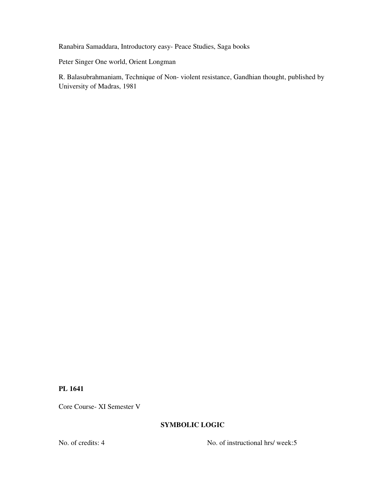Ranabira Samaddara, Introductory easy- Peace Studies, Saga books

Peter Singer One world, Orient Longman

R. Balasubrahmaniam, Technique of Non- violent resistance, Gandhian thought, published by University of Madras, 1981

#### **PL 1641**

Core Course- XI Semester V

#### **SYMBOLIC LOGIC**

No. of credits: 4 No. of instructional hrs/ week: 5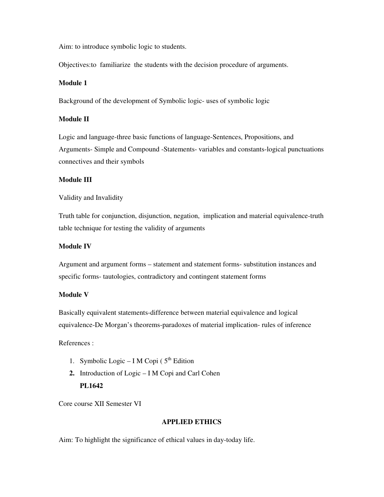Aim: to introduce symbolic logic to students.

Objectives:to familiarize the students with the decision procedure of arguments.

#### **Module 1**

Background of the development of Symbolic logic- uses of symbolic logic

#### **Module II**

Logic and language-three basic functions of language-Sentences, Propositions, and Arguments- Simple and Compound -Statements- variables and constants-logical punctuations connectives and their symbols

#### **Module III**

#### Validity and Invalidity

Truth table for conjunction, disjunction, negation, implication and material equivalence-truth table technique for testing the validity of arguments

#### **Module IV**

Argument and argument forms – statement and statement forms- substitution instances and specific forms- tautologies, contradictory and contingent statement forms

#### **Module V**

Basically equivalent statements-difference between material equivalence and logical equivalence-De Morgan's theorems-paradoxes of material implication- rules of inference

References :

- 1. Symbolic Logic I M Copi ( $5<sup>th</sup>$  Edition
- **2.** Introduction of Logic I M Copi and Carl Cohen **PL1642**

Core course XII Semester VI

#### **APPLIED ETHICS**

Aim: To highlight the significance of ethical values in day-today life.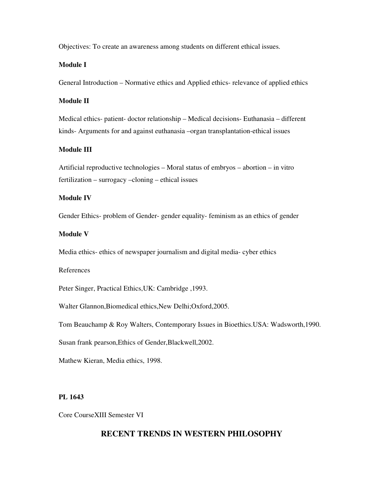Objectives: To create an awareness among students on different ethical issues.

#### **Module I**

General Introduction – Normative ethics and Applied ethics- relevance of applied ethics

#### **Module II**

Medical ethics- patient- doctor relationship – Medical decisions- Euthanasia – different kinds- Arguments for and against euthanasia –organ transplantation-ethical issues

#### **Module III**

Artificial reproductive technologies – Moral status of embryos – abortion – in vitro fertilization – surrogacy –cloning – ethical issues

#### **Module IV**

Gender Ethics- problem of Gender- gender equality- feminism as an ethics of gender

#### **Module V**

Media ethics- ethics of newspaper journalism and digital media- cyber ethics

#### References

Peter Singer, Practical Ethics,UK: Cambridge ,1993.

Walter Glannon,Biomedical ethics,New Delhi;Oxford,2005.

Tom Beauchamp & Roy Walters, Contemporary Issues in Bioethics.USA: Wadsworth,1990.

Susan frank pearson,Ethics of Gender,Blackwell,2002.

Mathew Kieran, Media ethics, 1998.

#### **PL 1643**

Core CourseXIII Semester VI

#### **RECENT TRENDS IN WESTERN PHILOSOPHY**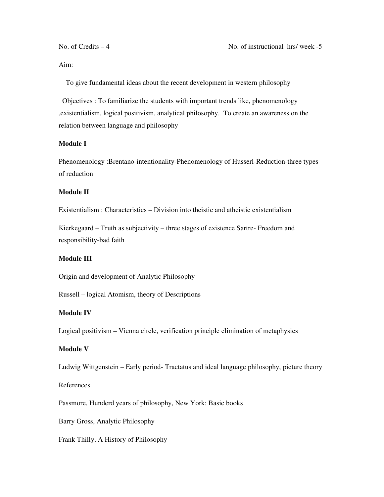Aim:

To give fundamental ideas about the recent development in western philosophy

 Objectives : To familiarize the students with important trends like, phenomenology ,existentialism, logical positivism, analytical philosophy. To create an awareness on the relation between language and philosophy

#### **Module I**

Phenomenology :Brentano-intentionality-Phenomenology of Husserl-Reduction-three types of reduction

#### **Module II**

Existentialism : Characteristics – Division into theistic and atheistic existentialism

Kierkegaard – Truth as subjectivity – three stages of existence Sartre- Freedom and responsibility-bad faith

#### **Module III**

Origin and development of Analytic Philosophy-

Russell – logical Atomism, theory of Descriptions

#### **Module IV**

Logical positivism – Vienna circle, verification principle elimination of metaphysics

#### **Module V**

Ludwig Wittgenstein – Early period- Tractatus and ideal language philosophy, picture theory

References

Passmore, Hunderd years of philosophy, New York: Basic books

Barry Gross, Analytic Philosophy

Frank Thilly, A History of Philosophy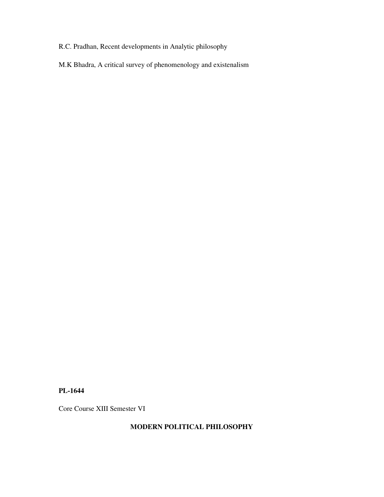R.C. Pradhan, Recent developments in Analytic philosophy

M.K Bhadra, A critical survey of phenomenology and existenalism

#### **PL-1644**

Core Course XIII Semester VI

**MODERN POLITICAL PHILOSOPHY**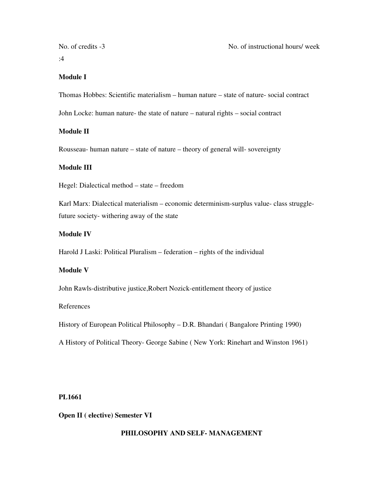:4

No. of credits -3 No. of instructional hours/ week

#### **Module I**

Thomas Hobbes: Scientific materialism – human nature – state of nature- social contract

John Locke: human nature- the state of nature – natural rights – social contract

#### **Module II**

Rousseau- human nature – state of nature – theory of general will- sovereignty

#### **Module III**

Hegel: Dialectical method – state – freedom

Karl Marx: Dialectical materialism – economic determinism-surplus value- class strugglefuture society- withering away of the state

#### **Module IV**

Harold J Laski: Political Pluralism – federation – rights of the individual

#### **Module V**

John Rawls-distributive justice,Robert Nozick-entitlement theory of justice

#### References

History of European Political Philosophy – D.R. Bhandari ( Bangalore Printing 1990)

A History of Political Theory- George Sabine ( New York: Rinehart and Winston 1961)

**PL1661** 

**Open II ( elective) Semester VI** 

#### **PHILOSOPHY AND SELF- MANAGEMENT**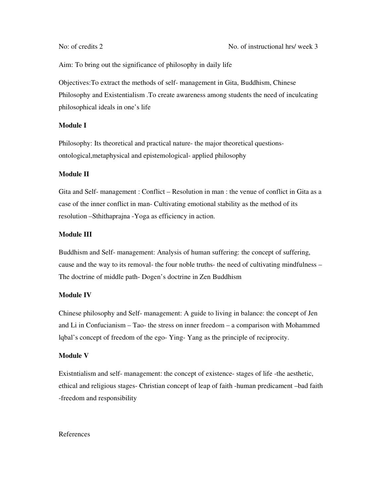Aim: To bring out the significance of philosophy in daily life

Objectives:To extract the methods of self- management in Gita, Buddhism, Chinese Philosophy and Existentialism .To create awareness among students the need of inculcating philosophical ideals in one's life

#### **Module I**

Philosophy: Its theoretical and practical nature- the major theoretical questionsontological,metaphysical and epistemological- applied philosophy

#### **Module II**

Gita and Self- management : Conflict – Resolution in man : the venue of conflict in Gita as a case of the inner conflict in man- Cultivating emotional stability as the method of its resolution –Sthithaprajna -Yoga as efficiency in action.

#### **Module III**

Buddhism and Self- management: Analysis of human suffering: the concept of suffering, cause and the way to its removal- the four noble truths- the need of cultivating mindfulness – The doctrine of middle path- Dogen's doctrine in Zen Buddhism

#### **Module IV**

Chinese philosophy and Self- management: A guide to living in balance: the concept of Jen and Li in Confucianism – Tao- the stress on inner freedom – a comparison with Mohammed lqbal's concept of freedom of the ego- Ying- Yang as the principle of reciprocity.

#### **Module V**

Existntialism and self- management: the concept of existence- stages of life -the aesthetic, ethical and religious stages- Christian concept of leap of faith -human predicament –bad faith -freedom and responsibility

#### References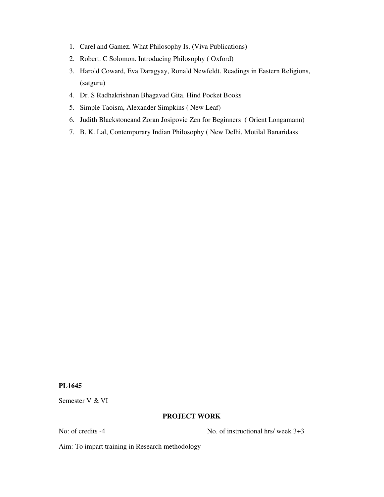- 1. Carel and Gamez. What Philosophy Is, (Viva Publications)
- 2. Robert. C Solomon. Introducing Philosophy ( Oxford)
- 3. Harold Coward, Eva Daragyay, Ronald Newfeldt. Readings in Eastern Religions, (satguru)
- 4. Dr. S Radhakrishnan Bhagavad Gita. Hind Pocket Books
- 5. Simple Taoism, Alexander Simpkins ( New Leaf)
- 6. Judith Blackstoneand Zoran Josipovic Zen for Beginners ( Orient Longamann)
- 7. B. K. Lal, Contemporary Indian Philosophy ( New Delhi, Motilal Banaridass

Semester V & VI

#### **PROJECT WORK**

No: of credits -4 No. of instructional hrs/ week 3+3

Aim: To impart training in Research methodology